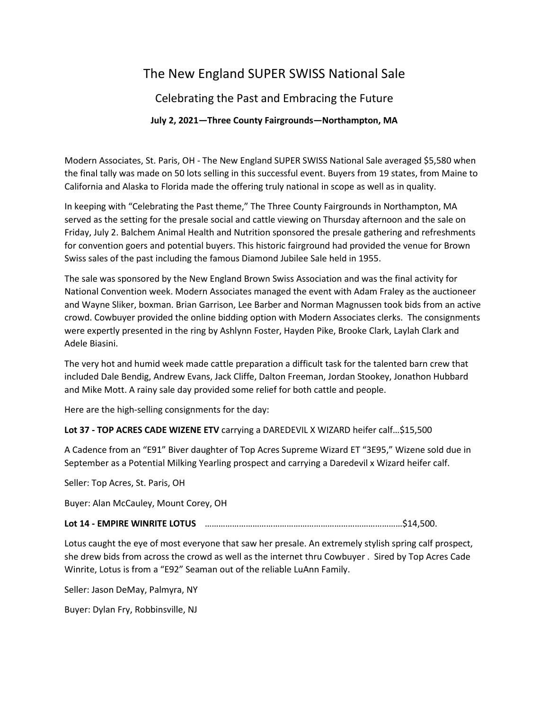# The New England SUPER SWISS National Sale

# Celebrating the Past and Embracing the Future

## **July 2, 2021—Three County Fairgrounds—Northampton, MA**

Modern Associates, St. Paris, OH - The New England SUPER SWISS National Sale averaged \$5,580 when the final tally was made on 50 lots selling in this successful event. Buyers from 19 states, from Maine to California and Alaska to Florida made the offering truly national in scope as well as in quality.

In keeping with "Celebrating the Past theme," The Three County Fairgrounds in Northampton, MA served as the setting for the presale social and cattle viewing on Thursday afternoon and the sale on Friday, July 2. Balchem Animal Health and Nutrition sponsored the presale gathering and refreshments for convention goers and potential buyers. This historic fairground had provided the venue for Brown Swiss sales of the past including the famous Diamond Jubilee Sale held in 1955.

The sale was sponsored by the New England Brown Swiss Association and was the final activity for National Convention week. Modern Associates managed the event with Adam Fraley as the auctioneer and Wayne Sliker, boxman. Brian Garrison, Lee Barber and Norman Magnussen took bids from an active crowd. Cowbuyer provided the online bidding option with Modern Associates clerks. The consignments were expertly presented in the ring by Ashlynn Foster, Hayden Pike, Brooke Clark, Laylah Clark and Adele Biasini.

The very hot and humid week made cattle preparation a difficult task for the talented barn crew that included Dale Bendig, Andrew Evans, Jack Cliffe, Dalton Freeman, Jordan Stookey, Jonathon Hubbard and Mike Mott. A rainy sale day provided some relief for both cattle and people.

Here are the high-selling consignments for the day:

### **Lot 37 - TOP ACRES CADE WIZENE ETV** carrying a DAREDEVIL X WIZARD heifer calf…\$15,500

A Cadence from an "E91" Biver daughter of Top Acres Supreme Wizard ET "3E95," Wizene sold due in September as a Potential Milking Yearling prospect and carrying a Daredevil x Wizard heifer calf.

Seller: Top Acres, St. Paris, OH

Buyer: Alan McCauley, Mount Corey, OH

#### **Lot 14 - EMPIRE WINRITE LOTUS** ……………………………………………………………………………\$14,500.

Lotus caught the eye of most everyone that saw her presale. An extremely stylish spring calf prospect, she drew bids from across the crowd as well as the internet thru Cowbuyer . Sired by Top Acres Cade Winrite, Lotus is from a "E92" Seaman out of the reliable LuAnn Family.

Seller: Jason DeMay, Palmyra, NY

Buyer: Dylan Fry, Robbinsville, NJ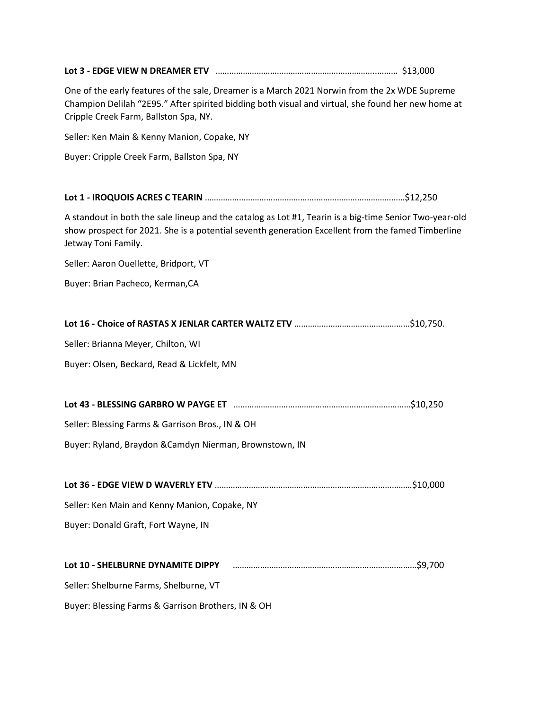| One of the early features of the sale, Dreamer is a March 2021 Norwin from the 2x WDE Supreme<br>Champion Delilah "2E95." After spirited bidding both visual and virtual, she found her new home at<br>Cripple Creek Farm, Ballston Spa, NY. |  |
|----------------------------------------------------------------------------------------------------------------------------------------------------------------------------------------------------------------------------------------------|--|
| Seller: Ken Main & Kenny Manion, Copake, NY                                                                                                                                                                                                  |  |
| Buyer: Cripple Creek Farm, Ballston Spa, NY                                                                                                                                                                                                  |  |
|                                                                                                                                                                                                                                              |  |
|                                                                                                                                                                                                                                              |  |
| A standout in both the sale lineup and the catalog as Lot #1, Tearin is a big-time Senior Two-year-old<br>show prospect for 2021. She is a potential seventh generation Excellent from the famed Timberline<br>Jetway Toni Family.           |  |
| Seller: Aaron Ouellette, Bridport, VT                                                                                                                                                                                                        |  |
| Buyer: Brian Pacheco, Kerman, CA                                                                                                                                                                                                             |  |
|                                                                                                                                                                                                                                              |  |
|                                                                                                                                                                                                                                              |  |
| Seller: Brianna Meyer, Chilton, WI                                                                                                                                                                                                           |  |
| Buyer: Olsen, Beckard, Read & Lickfelt, MN                                                                                                                                                                                                   |  |
|                                                                                                                                                                                                                                              |  |
|                                                                                                                                                                                                                                              |  |
| Seller: Blessing Farms & Garrison Bros., IN & OH                                                                                                                                                                                             |  |
| Buyer: Ryland, Braydon & Camdyn Nierman, Brownstown, IN                                                                                                                                                                                      |  |
|                                                                                                                                                                                                                                              |  |
|                                                                                                                                                                                                                                              |  |
| Seller: Ken Main and Kenny Manion, Copake, NY                                                                                                                                                                                                |  |
| Buyer: Donald Graft, Fort Wayne, IN                                                                                                                                                                                                          |  |
|                                                                                                                                                                                                                                              |  |
| Lot 10 - SHELBURNE DYNAMITE DIPPY                                                                                                                                                                                                            |  |
| Seller: Shelburne Farms, Shelburne, VT                                                                                                                                                                                                       |  |
| Buyer: Blessing Farms & Garrison Brothers, IN & OH                                                                                                                                                                                           |  |